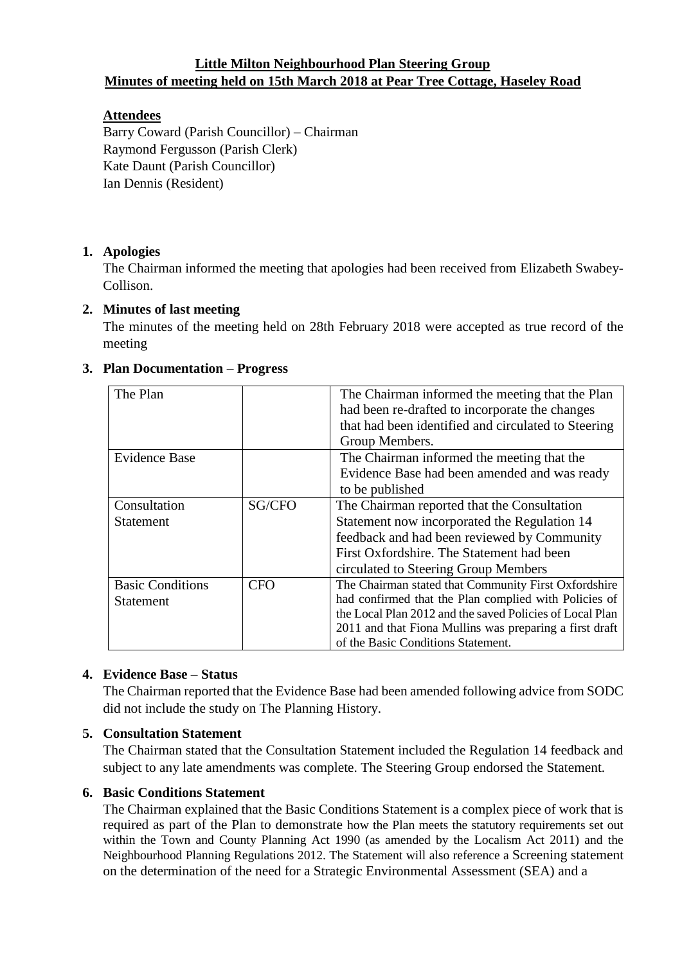#### **Little Milton Neighbourhood Plan Steering Group Minutes of meeting held on 15th March 2018 at Pear Tree Cottage, Haseley Road**

## **Attendees**

Barry Coward (Parish Councillor) – Chairman Raymond Fergusson (Parish Clerk) Kate Daunt (Parish Councillor) Ian Dennis (Resident)

# **1. Apologies**

The Chairman informed the meeting that apologies had been received from Elizabeth Swabey-Collison.

# **2. Minutes of last meeting**

The minutes of the meeting held on 28th February 2018 were accepted as true record of the meeting

| The Plan                |            | The Chairman informed the meeting that the Plan          |
|-------------------------|------------|----------------------------------------------------------|
|                         |            | had been re-drafted to incorporate the changes           |
|                         |            | that had been identified and circulated to Steering      |
|                         |            | Group Members.                                           |
| Evidence Base           |            | The Chairman informed the meeting that the               |
|                         |            | Evidence Base had been amended and was ready             |
|                         |            | to be published                                          |
| Consultation            | SG/CFO     | The Chairman reported that the Consultation              |
| <b>Statement</b>        |            | Statement now incorporated the Regulation 14             |
|                         |            | feedback and had been reviewed by Community              |
|                         |            | First Oxfordshire. The Statement had been                |
|                         |            | circulated to Steering Group Members                     |
| <b>Basic Conditions</b> | <b>CFO</b> | The Chairman stated that Community First Oxfordshire     |
| <b>Statement</b>        |            | had confirmed that the Plan complied with Policies of    |
|                         |            | the Local Plan 2012 and the saved Policies of Local Plan |
|                         |            | 2011 and that Fiona Mullins was preparing a first draft  |
|                         |            | of the Basic Conditions Statement.                       |

#### **3. Plan Documentation – Progress**

# **4. Evidence Base – Status**

The Chairman reported that the Evidence Base had been amended following advice from SODC did not include the study on The Planning History.

#### **5. Consultation Statement**

The Chairman stated that the Consultation Statement included the Regulation 14 feedback and subject to any late amendments was complete. The Steering Group endorsed the Statement.

#### **6. Basic Conditions Statement**

The Chairman explained that the Basic Conditions Statement is a complex piece of work that is required as part of the Plan to demonstrate how the Plan meets the statutory requirements set out within the Town and County Planning Act 1990 (as amended by the Localism Act 2011) and the Neighbourhood Planning Regulations 2012. The Statement will also reference a Screening statement on the determination of the need for a Strategic Environmental Assessment (SEA) and a